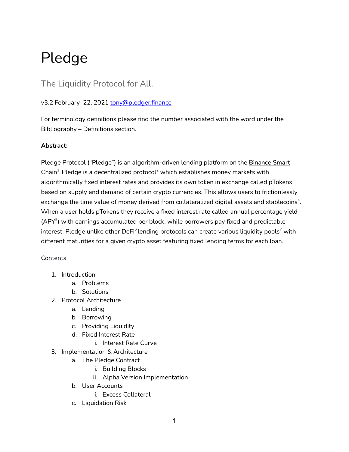# Pledge

## The Liquidity Protocol for All.

### v3.2 February 22, 2021 [tony@pledger.finance](mailto:tony@pledger.finance)

For terminology definitions please find the number associated with the word under the Bibliography – Definitions section.

#### **Abstract:**

Pledge Protocol ("Pledge") is an algorithm-driven lending platform on the [Binance](https://www.binance.org/en/smartChain) Smart  ${\sf Chain}^1$  ${\sf Chain}^1$  ${\sf Chain}^1$ . Pledge is a decentralized protocol $^2$  which establishes money markets with algorithmically fixed interest rates and provides its own token in exchange called pTokens based on supply and demand of certain crypto currencies. This allows users to frictionlessly exchange the time value of money derived from collateralized digital assets and stablecoins $^4\!$ . When a user holds pTokens they receive a fixed interest rate called annual percentage yield (APY<sup>5</sup>) with earnings accumulated per block, while borrowers pay fixed and predictable interest. Pledge unlike other DeFi $^6$ lending protocols can create various liquidity pools $^7$  with different maturities for a given crypto asset featuring fixed lending terms for each loan.

#### **Contents**

- 1. Introduction
	- a. Problems
	- b. Solutions
- 2. Protocol Architecture
	- a. Lending
	- b. Borrowing
	- c. Providing Liquidity
	- d. Fixed Interest Rate
		- i. Interest Rate Curve
- 3. Implementation & Architecture
	- a. The Pledge Contract
		- i. Building Blocks
		- ii. Alpha Version Implementation
	- b. User Accounts
		- i. Excess Collateral
	- c. Liquidation Risk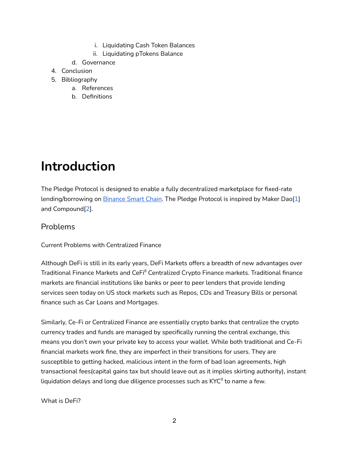- i. Liquidating Cash Token Balances
- ii. Liquidating pTokens Balance
- d. Governance
- 4. Conclusion
- 5. Bibliography
	- a. References
	- b. Definitions

# **Introduction**

The Pledge Protocol is designed to enable a fully decentralized marketplace for fixed-rate lending/borrowing on [Binance](https://www.binance.org/en/smartChain) Smart Chain. The Pledge Protocol is inspired by Maker Dao[1] and Compound[2].

### Problems

Current Problems with Centralized Finance

Although DeFi is still in its early years, DeFi Markets offers a breadth of new advantages over Traditional Finance Markets and CeFi<sup>8</sup> Centralized Crypto Finance markets. Traditional finance markets are financial institutions like banks or peer to peer lenders that provide lending services seen today on US stock markets such as Repos, CDs and Treasury Bills or personal finance such as Car Loans and Mortgages.

Similarly, Ce-Fi or Centralized Finance are essentially crypto banks that centralize the crypto currency trades and funds are managed by specifically running the central exchange, this means you don't own your private key to access your wallet. While both traditional and Ce-Fi financial markets work fine, they are imperfect in their transitions for users. They are susceptible to getting hacked, malicious intent in the form of bad loan agreements, high transactional fees(capital gains tax but should leave out as it implies skirting authority), instant liquidation delays and long due diligence processes such as KYC $^{\circ}$  to name a few.

What is DeFi?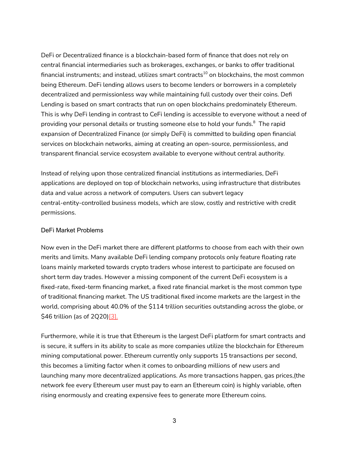DeFi or Decentralized finance is a blockchain-based form of finance that does not rely on central financial intermediaries such as brokerages, exchanges, or banks to offer traditional financial instruments; and instead, utilizes smart contracts $^{\rm 10}$  on blockchains, the most common being Ethereum. DeFi lending allows users to become lenders or borrowers in a completely decentralized and permissionless way while maintaining full custody over their coins. Defi Lending is based on smart contracts that run on open blockchains predominately Ethereum. This is why DeFi lending in contrast to CeFi lending is accessible to everyone without a need of providing your personal details or trusting someone else to hold your funds. $^8\,$  The rapid expansion of Decentralized Finance (or simply DeFi) is committed to building open financial services on blockchain networks, aiming at creating an open-source, permissionless, and transparent financial service ecosystem available to everyone without central authority.

Instead of relying upon those centralized financial institutions as intermediaries, DeFi applications are deployed on top of blockchain networks, using infrastructure that distributes data and value across a network of computers. Users can subvert legacy central-entity-controlled business models, which are slow, costly and restrictive with credit permissions.

#### DeFi Market Problems

Now even in the DeFi market there are different platforms to choose from each with their own merits and limits. Many available DeFi lending company protocols only feature floating rate loans mainly marketed towards crypto traders whose interest to participate are focused on short term day trades. However a missing component of the current DeFi ecosystem is a fixed-rate, fixed-term financing market, a fixed rate financial market is the most common type of traditional financing market. The US traditional fixed income markets are the largest in the world, comprising about 40.0% of the \$114 trillion securities outstanding across the globe, or \$46 trillion (as of 2Q20)[\[3\]](https://www.sifma.org/resources/research/research-quarterly-fixed-income-issuance-and-trading-fourth-quarter-2020/).

Furthermore, while it is true that Ethereum is the largest DeFi platform for smart contracts and is secure, it suffers in its ability to scale as more companies utilize the blockchain for Ethereum mining computational power. Ethereum currently only supports 15 transactions per second, this becomes a limiting factor when it comes to onboarding millions of new users and launching many more decentralized applications. As more transactions happen, gas prices,(the network fee every Ethereum user must pay to earn an Ethereum coin) is highly variable, often rising enormously and creating expensive fees to generate more Ethereum coins.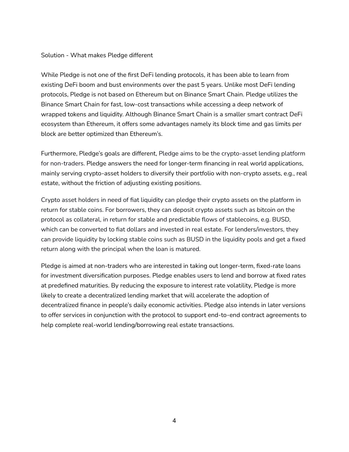#### Solution - What makes Pledge different

While Pledge is not one of the first DeFi lending protocols, it has been able to learn from existing DeFi boom and bust environments over the past 5 years. Unlike most DeFi lending protocols, Pledge is not based on Ethereum but on Binance Smart Chain. Pledge utilizes the Binance Smart Chain for fast, low-cost transactions while accessing a deep network of wrapped tokens and liquidity. Although Binance Smart Chain is a smaller smart contract DeFi ecosystem than Ethereum, it offers some advantages namely its block time and gas limits per block are better optimized than Ethereum's.

Furthermore, Pledge's goals are different, Pledge aims to be the crypto-asset lending platform for non-traders. Pledge answers the need for longer-term financing in real world applications, mainly serving crypto-asset holders to diversify their portfolio with non-crypto assets, e.g., real estate, without the friction of adjusting existing positions.

Crypto asset holders in need of fiat liquidity can pledge their crypto assets on the platform in return for stable coins. For borrowers, they can deposit crypto assets such as bitcoin on the protocol as collateral, in return for stable and predictable flows of stablecoins, e.g. BUSD, which can be converted to fiat dollars and invested in real estate. For lenders/investors, they can provide liquidity by locking stable coins such as BUSD in the liquidity pools and get a fixed return along with the principal when the loan is matured.

Pledge is aimed at non-traders who are interested in taking out longer-term, fixed-rate loans for investment diversification purposes. Pledge enables users to lend and borrow at fixed rates at predefined maturities. By reducing the exposure to interest rate volatility, Pledge is more likely to create a decentralized lending market that will accelerate the adoption of decentralized finance in people's daily economic activities. Pledge also intends in later versions to offer services in conjunction with the protocol to support end-to-end contract agreements to help complete real-world lending/borrowing real estate transactions.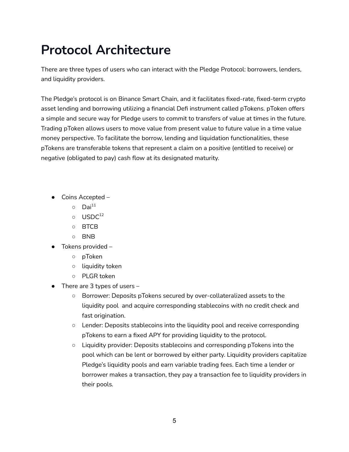# **Protocol Architecture**

There are three types of users who can interact with the Pledge Protocol: borrowers, lenders, and liquidity providers.

The Pledge's protocol is on Binance Smart Chain, and it facilitates fixed-rate, fixed-term crypto asset lending and borrowing utilizing a financial Defi instrument called pTokens. pToken offers a simple and secure way for Pledge users to commit to transfers of value at times in the future. Trading pToken allows users to move value from present value to future value in a time value money perspective. To facilitate the borrow, lending and liquidation functionalities, these pTokens are transferable tokens that represent a claim on a positive (entitled to receive) or negative (obligated to pay) cash flow at its designated maturity.

- Coins Accepted
	- $\circ$  Dai<sup>11</sup>
	- $\circ$  USDC $^{12}$
	- BTCB
	- BNB
- Tokens provided
	- pToken
	- liquidity token
	- PLGR token
- $\bullet$  There are 3 types of users -
	- Borrower: Deposits pTokens secured by over-collateralized assets to the liquidity pool and acquire corresponding stablecoins with no credit check and fast origination.
	- Lender: Deposits stablecoins into the liquidity pool and receive corresponding pTokens to earn a fixed APY for providing liquidity to the protocol.
	- Liquidity provider: Deposits stablecoins and corresponding pTokens into the pool which can be lent or borrowed by either party. Liquidity providers capitalize Pledge's liquidity pools and earn variable trading fees. Each time a lender or borrower makes a transaction, they pay a transaction fee to liquidity providers in their pools.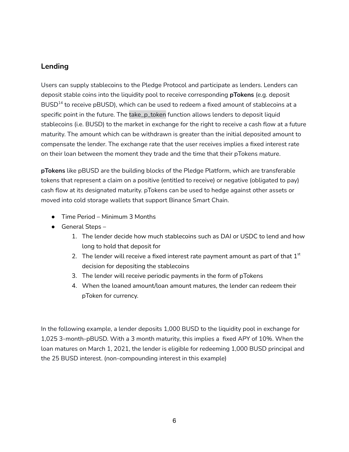### **Lending**

Users can supply stablecoins to the Pledge Protocol and participate as lenders. Lenders can deposit stable coins into the liquidity pool to receive corresponding **pTokens** (e.g. deposit  $\mathsf{BUSD^{14}}$  to receive p $\mathsf{BUSD}$ , which can be used to redeem a fixed amount of stablecoins at a specific point in the future. The take\_p\_token function allows lenders to deposit liquid stablecoins (i.e. BUSD) to the market in exchange for the right to receive a cash flow at a future maturity. The amount which can be withdrawn is greater than the initial deposited amount to compensate the lender. The exchange rate that the user receives implies a fixed interest rate on their loan between the moment they trade and the time that their pTokens mature.

**pTokens** like pBUSD are the building blocks of the Pledge Platform, which are transferable tokens that represent a claim on a positive (entitled to receive) or negative (obligated to pay) cash flow at its designated maturity. pTokens can be used to hedge against other assets or moved into cold storage wallets that support Binance Smart Chain.

- Time Period Minimum 3 Months
- $\bullet$  General Steps
	- 1. The lender decide how much stablecoins such as DAI or USDC to lend and how long to hold that deposit for
	- 2. The lender will receive a fixed interest rate payment amount as part of that  $1^\text{st}$ decision for depositing the stablecoins
	- 3. The lender will receive periodic payments in the form of pTokens
	- 4. When the loaned amount/loan amount matures, the lender can redeem their pToken for currency.

In the following example, a lender deposits 1,000 BUSD to the liquidity pool in exchange for 1,025 3-month-pBUSD. With a 3 month maturity, this implies a fixed APY of 10%. When the loan matures on March 1, 2021, the lender is eligible for redeeming 1,000 BUSD principal and the 25 BUSD interest. (non-compounding interest in this example)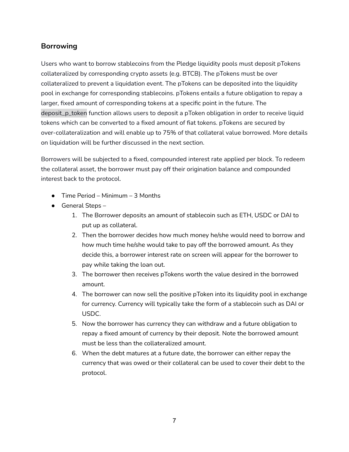### **Borrowing**

Users who want to borrow stablecoins from the Pledge liquidity pools must deposit pTokens collateralized by corresponding crypto assets (e.g. BTCB). The pTokens must be over collateralized to prevent a liquidation event. The pTokens can be deposited into the liquidity pool in exchange for corresponding stablecoins. pTokens entails a future obligation to repay a larger, fixed amount of corresponding tokens at a specific point in the future. The deposit\_p\_token function allows users to deposit a pToken obligation in order to receive liquid tokens which can be converted to a fixed amount of fiat tokens. pTokens are secured by over-collateralization and will enable up to 75% of that collateral value borrowed. More details on liquidation will be further discussed in the next section.

Borrowers will be subjected to a fixed, compounded interest rate applied per block. To redeem the collateral asset, the borrower must pay off their origination balance and compounded interest back to the protocol.

- $\bullet$  Time Period Minimum 3 Months
- $\bullet$  General Steps -
	- 1. The Borrower deposits an amount of stablecoin such as ETH, USDC or DAI to put up as collateral.
	- 2. Then the borrower decides how much money he/she would need to borrow and how much time he/she would take to pay off the borrowed amount. As they decide this, a borrower interest rate on screen will appear for the borrower to pay while taking the loan out.
	- 3. The borrower then receives pTokens worth the value desired in the borrowed amount.
	- 4. The borrower can now sell the positive pToken into its liquidity pool in exchange for currency. Currency will typically take the form of a stablecoin such as DAI or USDC.
	- 5. Now the borrower has currency they can withdraw and a future obligation to repay a fixed amount of currency by their deposit. Note the borrowed amount must be less than the collateralized amount.
	- 6. When the debt matures at a future date, the borrower can either repay the currency that was owed or their collateral can be used to cover their debt to the protocol.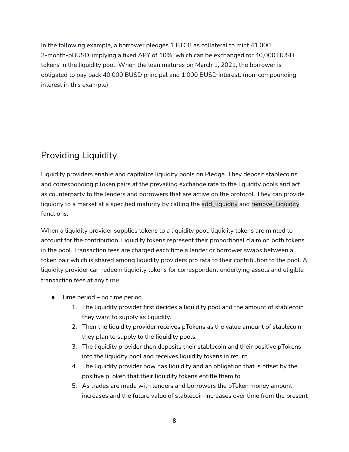In the following example, a borrower pledges 1 BTCB as collateral to mint 41,000 3-month-pBUSD, implying a fixed APY of 10%, which can be exchanged for 40,000 BUSD tokens in the liquidity pool. When the loan matures on March 1, 2021, the borrower is obligated to pay back 40,000 BUSD principal and 1,000 BUSD interest. (non-compounding interest in this example)

# Providing Liquidity

Liquidity providers enable and capitalize liquidity pools on Pledge. They deposit stablecoins and corresponding pToken pairs at the prevailing exchange rate to the liquidity pools and act as counterparty to the lenders and borrowers that are active on the protocol. They can provide liquidity to a market at a specified maturity by calling the add\_liquidity and remove\_Liquidity functions.

When a liquidity provider supplies tokens to a liquidity pool, liquidity tokens are minted to account for the contribution. Liquidity tokens represent their proportional claim on both tokens in the pool. Transaction fees are charged each time a lender or borrower swaps between a token pair which is shared among liquidity providers pro rata to their contribution to the pool. A liquidity provider can redeem liquidity tokens for correspondent underlying assets and eligible transaction fees at any time.

- Time period no time period
	- 1. The liquidity provider first decides a liquidity pool and the amount of stablecoin they want to supply as liquidity.
	- 2. Then the liquidity provider receives pTokens as the value amount of stablecoin they plan to supply to the liquidity pools.
	- 3. The liquidity provider then deposits their stablecoin and their positive pTokens into the liquidity pool and receives liquidity tokens in return.
	- 4. The liquidity provider now has liquidity and an obligation that is offset by the positive pToken that their liquidity tokens entitle them to.
	- 5. As trades are made with lenders and borrowers the pToken money amount increases and the future value of stablecoin increases over time from the present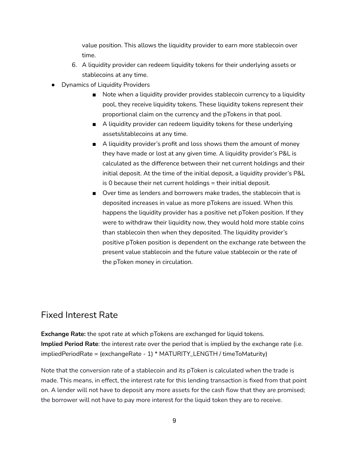value position. This allows the liquidity provider to earn more stablecoin over time.

- 6. A liquidity provider can redeem liquidity tokens for their underlying assets or stablecoins at any time.
- **Dynamics of Liquidity Providers** 
	- Note when a liquidity provider provides stablecoin currency to a liquidity pool, they receive liquidity tokens. These liquidity tokens represent their proportional claim on the currency and the pTokens in that pool.
	- A liquidity provider can redeem liquidity tokens for these underlying assets/stablecoins at any time.
	- A liquidity provider's profit and loss shows them the amount of money they have made or lost at any given time. A liquidity provider's P&L is calculated as the difference between their net current holdings and their initial deposit. At the time of the initial deposit, a liquidity provider's P&L is 0 because their net current holdings = their initial deposit.
	- Over time as lenders and borrowers make trades, the stablecoin that is deposited increases in value as more pTokens are issued. When this happens the liquidity provider has a positive net pToken position. If they were to withdraw their liquidity now, they would hold more stable coins than stablecoin then when they deposited. The liquidity provider's positive pToken position is dependent on the exchange rate between the present value stablecoin and the future value stablecoin or the rate of the pToken money in circulation.

## Fixed Interest Rate

**Exchange Rate:** the spot rate at which pTokens are exchanged for liquid tokens. **Implied Period Rate**: the interest rate over the period that is implied by the exchange rate (i.e. impliedPeriodRate = (exchangeRate - 1) \* MATURITY\_LENGTH / timeToMaturity)

Note that the conversion rate of a stablecoin and its pToken is calculated when the trade is made. This means, in effect, the interest rate for this lending transaction is fixed from that point on. A lender will not have to deposit any more assets for the cash flow that they are promised; the borrower will not have to pay more interest for the liquid token they are to receive.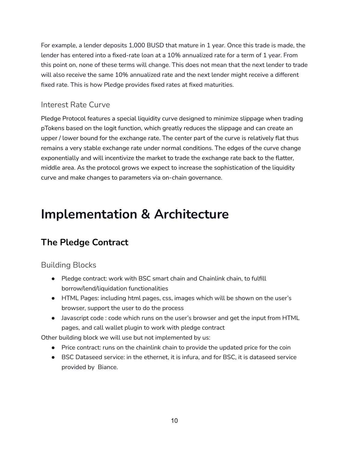For example, a lender deposits 1,000 BUSD that mature in 1 year. Once this trade is made, the lender has entered into a fixed-rate loan at a 10% annualized rate for a term of 1 year. From this point on, none of these terms will change. This does not mean that the next lender to trade will also receive the same 10% annualized rate and the next lender might receive a different fixed rate. This is how Pledge provides fixed rates at fixed maturities.

### Interest Rate Curve

Pledge Protocol features a special liquidity curve designed to minimize slippage when trading pTokens based on the logit function, which greatly reduces the slippage and can create an upper / lower bound for the exchange rate. The center part of the curve is relatively flat thus remains a very stable exchange rate under normal conditions. The edges of the curve change exponentially and will incentivize the market to trade the exchange rate back to the flatter, middle area. As the protocol grows we expect to increase the sophistication of the liquidity curve and make changes to parameters via on-chain governance.

# **Implementation & Architecture**

# **The Pledge Contract**

### Building Blocks

- Pledge contract: work with BSC smart chain and Chainlink chain, to fulfill borrow/lend/liquidation functionalities
- HTML Pages: including html pages, css, images which will be shown on the user's browser, support the user to do the process
- Javascript code : code which runs on the user's browser and get the input from HTML pages, and call wallet plugin to work with pledge contract

Other building block we will use but not implemented by us:

- Price contract: runs on the chainlink chain to provide the updated price for the coin
- BSC Dataseed service: in the ethernet, it is infura, and for BSC, it is dataseed service provided by Biance.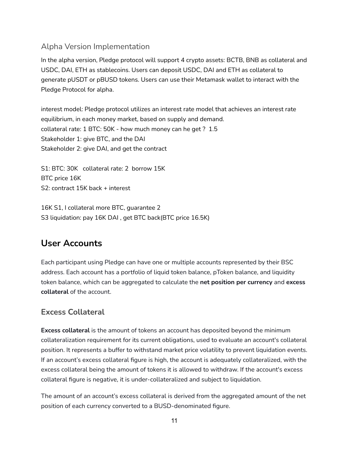### Alpha Version Implementation

In the alpha version, Pledge protocol will support 4 crypto assets: BCTB, BNB as collateral and USDC, DAI, ETH as stablecoins. Users can deposit USDC, DAI and ETH as collateral to generate pUSDT or pBUSD tokens. Users can use their Metamask wallet to interact with the Pledge Protocol for alpha.

interest model: Pledge protocol utilizes an interest rate model that achieves an interest rate equilibrium, in each money market, based on supply and demand. collateral rate: 1 BTC: 50K - how much money can he get ? 1.5 Stakeholder 1: give BTC, and the DAI Stakeholder 2: give DAI, and get the contract

S1: BTC: 30K collateral rate: 2 borrow 15K BTC price 16K S2: contract 15K back + interest

16K S1, I collateral more BTC, guarantee 2 S3 liquidation: pay 16K DAI , get BTC back(BTC price 16.5K)

## **User Accounts**

Each participant using Pledge can have one or multiple accounts represented by their BSC address. Each account has a portfolio of liquid token balance, pToken balance, and liquidity token balance, which can be aggregated to calculate the **net position per currency** and **excess collateral** of the account.

### **Excess Collateral**

**Excess collateral** is the amount of tokens an account has deposited beyond the minimum collateralization requirement for its current obligations, used to evaluate an account's collateral position. It represents a buffer to withstand market price volatility to prevent liquidation events. If an account's excess collateral figure is high, the account is adequately collateralized, with the excess collateral being the amount of tokens it is allowed to withdraw. If the account's excess collateral figure is negative, it is under-collateralized and subject to liquidation.

The amount of an account's excess collateral is derived from the aggregated amount of the net position of each currency converted to a BUSD-denominated figure.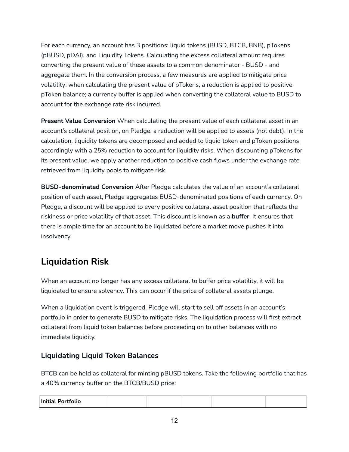For each currency, an account has 3 positions: liquid tokens (BUSD, BTCB, BNB), pTokens (pBUSD, pDAI), and Liquidity Tokens. Calculating the excess collateral amount requires converting the present value of these assets to a common denominator - BUSD - and aggregate them. In the conversion process, a few measures are applied to mitigate price volatility: when calculating the present value of pTokens, a reduction is applied to positive pToken balance; a currency buffer is applied when converting the collateral value to BUSD to account for the exchange rate risk incurred.

**Present Value Conversion** When calculating the present value of each collateral asset in an account's collateral position, on Pledge, a reduction will be applied to assets (not debt). In the calculation, liquidity tokens are decomposed and added to liquid token and pToken positions accordingly with a 25% reduction to account for liquidity risks. When discounting pTokens for its present value, we apply another reduction to positive cash flows under the exchange rate retrieved from liquidity pools to mitigate risk.

**BUSD-denominated Conversion** After Pledge calculates the value of an account's collateral position of each asset, Pledge aggregates BUSD-denominated positions of each currency. On Pledge, a discount will be applied to every positive collateral asset position that reflects the riskiness or price volatility of that asset. This discount is known as a **buffer**. It ensures that there is ample time for an account to be liquidated before a market move pushes it into insolvency.

# **Liquidation Risk**

When an account no longer has any excess collateral to buffer price volatility, it will be liquidated to ensure solvency. This can occur if the price of collateral assets plunge.

When a liquidation event is triggered, Pledge will start to sell off assets in an account's portfolio in order to generate BUSD to mitigate risks. The liquidation process will first extract collateral from liquid token balances before proceeding on to other balances with no immediate liquidity.

### **Liquidating Liquid Token Balances**

BTCB can be held as collateral for minting pBUSD tokens. Take the following portfolio that has a 40% currency buffer on the BTCB/BUSD price:

| <b>Initial Portfolio</b> |  |  |  |  |  |
|--------------------------|--|--|--|--|--|
|--------------------------|--|--|--|--|--|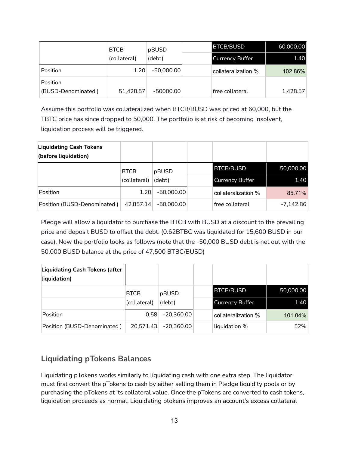|                                | <b>BTCB</b>  | pBUSD        | <b>BTCB/BUSD</b>       | 60,000.00 |
|--------------------------------|--------------|--------------|------------------------|-----------|
|                                | (collateral) | (debt)       | <b>Currency Buffer</b> | 1.40      |
| Position                       | 1.20         | $-50.000.00$ | collateralization %    | 102.86%   |
| Position<br>(BUSD-Denominated) | 51,428.57    | $-50000.00$  | free collateral        | 1,428.57  |

Assume this portfolio was collateralized when BTCB/BUSD was priced at 60,000, but the TBTC price has since dropped to 50,000. The portfolio is at risk of becoming insolvent, liquidation process will be triggered.

| <b>Liquidating Cash Tokens</b><br>(before liquidation) |                             |                 |                        |             |
|--------------------------------------------------------|-----------------------------|-----------------|------------------------|-------------|
|                                                        | <b>BTCB</b><br>(collateral) | pBUSD<br>(debt) | <b>BTCB/BUSD</b>       | 50,000.00   |
|                                                        |                             |                 | <b>Currency Buffer</b> | 1.40        |
| Position                                               | 1.20                        | $-50,000.00$    | collateralization %    | 85.71%      |
| Position (BUSD-Denominated)                            | 42,857.14                   | $-50,000.00$    | free collateral        | $-7,142.86$ |

Pledge will allow a liquidator to purchase the BTCB with BUSD at a discount to the prevailing price and deposit BUSD to offset the debt. (0.62BTBC was liquidated for 15,600 BUSD in our case). Now the portfolio looks as follows (note that the -50,000 BUSD debt is net out with the 50,000 BUSD balance at the price of 47,500 BTBC/BUSD)

| <b>Liquidating Cash Tokens (after</b><br>liquidation) |              |              |                        |           |
|-------------------------------------------------------|--------------|--------------|------------------------|-----------|
|                                                       | <b>BTCB</b>  | pBUSD        | <b>BTCB/BUSD</b>       | 50,000.00 |
|                                                       | (collateral) | (debt)       | <b>Currency Buffer</b> | 1.40      |
| <b>Position</b>                                       | 0.58         | $-20,360.00$ | collateralization %    | 101.04%   |
| Position (BUSD-Denominated)                           | 20,571.43    | -20,360.00   | liquidation %          | 52%       |

### **Liquidating pTokens Balances**

Liquidating pTokens works similarly to liquidating cash with one extra step. The liquidator must first convert the pTokens to cash by either selling them in Pledge liquidity pools or by purchasing the pTokens at its collateral value. Once the pTokens are converted to cash tokens, liquidation proceeds as normal. Liquidating ptokens improves an account's excess collateral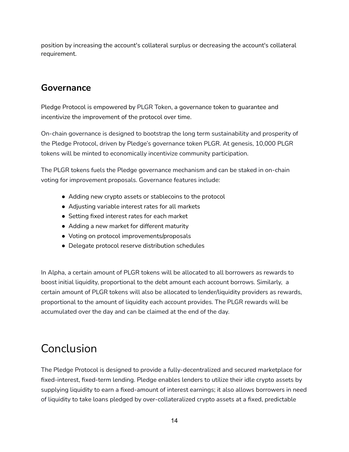position by increasing the account's collateral surplus or decreasing the account's collateral requirement.

## **Governance**

Pledge Protocol is empowered by PLGR Token, a governance token to guarantee and incentivize the improvement of the protocol over time.

On-chain governance is designed to bootstrap the long term sustainability and prosperity of the Pledge Protocol, driven by Pledge's governance token PLGR. At genesis, 10,000 PLGR tokens will be minted to economically incentivize community participation.

The PLGR tokens fuels the Pledge governance mechanism and can be staked in on-chain voting for improvement proposals. Governance features include:

- Adding new crypto assets or stablecoins to the protocol
- Adjusting variable interest rates for all markets
- Setting fixed interest rates for each market
- Adding a new market for different maturity
- Voting on protocol improvements/proposals
- Delegate protocol reserve distribution schedules

In Alpha, a certain amount of PLGR tokens will be allocated to all borrowers as rewards to boost initial liquidity, proportional to the debt amount each account borrows. Similarly, a certain amount of PLGR tokens will also be allocated to lender/liquidity providers as rewards, proportional to the amount of liquidity each account provides. The PLGR rewards will be accumulated over the day and can be claimed at the end of the day.

# Conclusion

The Pledge Protocol is designed to provide a fully-decentralized and secured marketplace for fixed-interest, fixed-term lending. Pledge enables lenders to utilize their idle crypto assets by supplying liquidity to earn a fixed-amount of interest earnings; it also allows borrowers in need of liquidity to take loans pledged by over-collateralized crypto assets at a fixed, predictable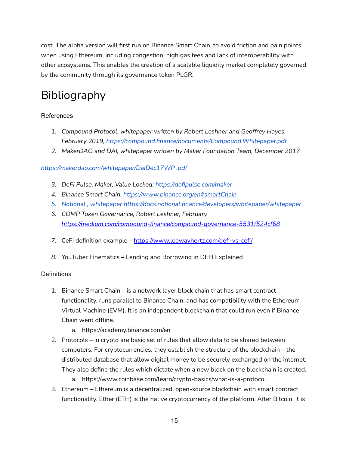cost. The alpha version will first run on Binance Smart Chain, to avoid friction and pain points when using Ethereum, including congestion, high gas fees and lack of interoperability with other ecosystems. This enables the creation of a scalable liquidity market completely governed by the community through its governance token PLGR.

# Bibliography

### References

- 1. *Compound Protocol, whitepaper written by Robert Leshner and Geoffrey Hayes, February 2019, https://compound.finance/documents/Compound.Whitepaper.pdf*
- *2. MakerDAO and DAI, whitepaper written by Maker Foundation Team, December 2017*

### *https://makerdao.com/whitepaper/DaiDec17WP .pdf*

- *3. DeFi Pulse, Maker, Value Locked: https://defipulse.com/maker*
- *4. Binance Smart Chain, <https://www.binance.org/en#smartChain>*
- *5. Notional , whitepaper https://docs.notional.finance/developers/whitepaper/whitepaper*
- *6. COMP Token Governance, Robert Leshner, February <https://medium.com/compound-finance/compound-governance-5531f524cf68>*
- 7. CeFi definition example <https://www.leewayhertz.com/defi-vs-cefi/>
- *8.* YouTuber Finematics Lending and Borrowing in DEFI Explained

#### **Definitions**

- 1. Binance Smart Chain is a network layer block chain that has smart contract functionality, runs parallel to Binance Chain, and has compatibility with the Ethereum Virtual Machine (EVM). It is an independent blockchain that could run even if Binance Chain went offline.
	- a. https://academy.binance.com/en
- 2. Protocols in crypto are basic set of rules that allow data to be shared between computers. For cryptocurrencies, they establish the structure of the blockchain – the distributed database that allow digital money to be securely exchanged on the internet. They also define the rules which dictate when a new block on the blockchain is created.
	- a. https://www.coinbase.com/learn/crypto-basics/what-is-a-protocol
- 3. Ethereum Ethereum is a decentralized, open-source blockchain with smart contract functionality. Ether (ETH) is the native cryptocurrency of the platform. After Bitcoin, it is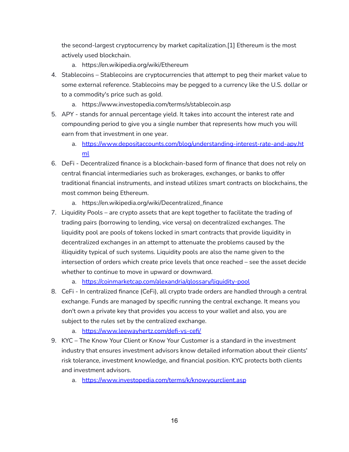the second-largest cryptocurrency by market capitalization.[1] Ethereum is the most actively used blockchain.

- a. https://en.wikipedia.org/wiki/Ethereum
- 4. Stablecoins Stablecoins are cryptocurrencies that attempt to peg their market value to some external reference. Stablecoins may be pegged to a currency like the U.S. dollar or to a commodity's price such as gold.
	- a. https://www.investopedia.com/terms/s/stablecoin.asp
- 5. APY stands for annual percentage yield. It takes into account the interest rate and compounding period to give you a single number that represents how much you will earn from that investment in one year.
	- a. [https://www.depositaccounts.com/blog/understanding-interest-rate-and-apy.ht](https://www.depositaccounts.com/blog/understanding-interest-rate-and-apy.html) [ml](https://www.depositaccounts.com/blog/understanding-interest-rate-and-apy.html)
- 6. DeFi Decentralized finance is a blockchain-based form of finance that does not rely on central financial intermediaries such as brokerages, exchanges, or banks to offer traditional financial instruments, and instead utilizes smart contracts on blockchains, the most common being Ethereum.
	- a. https://en.wikipedia.org/wiki/Decentralized\_finance
- 7. Liquidity Pools are crypto assets that are kept together to facilitate the trading of trading pairs (borrowing to lending, vice versa) on decentralized exchanges. The liquidity pool are pools of tokens locked in smart contracts that provide liquidity in decentralized exchanges in an attempt to attenuate the problems caused by the illiquidity typical of such systems. Liquidity pools are also the name given to the intersection of orders which create price levels that once reached – see the asset decide whether to continue to move in upward or downward.
	- a. <https://coinmarketcap.com/alexandria/glossary/liquidity-pool>
- 8. CeFi In centralized finance (CeFi), all crypto trade orders are handled through a central exchange. Funds are managed by specific running the central exchange. It means you don't own a private key that provides you access to your wallet and also, you are subject to the rules set by the centralized exchange.
	- a. <https://www.leewayhertz.com/defi-vs-cefi/>
- 9. KYC The Know Your Client or Know Your Customer is a standard in the investment industry that ensures investment advisors know detailed information about their clients' risk tolerance, investment knowledge, and financial position. KYC protects both clients and investment advisors.
	- a. <https://www.investopedia.com/terms/k/knowyourclient.asp>